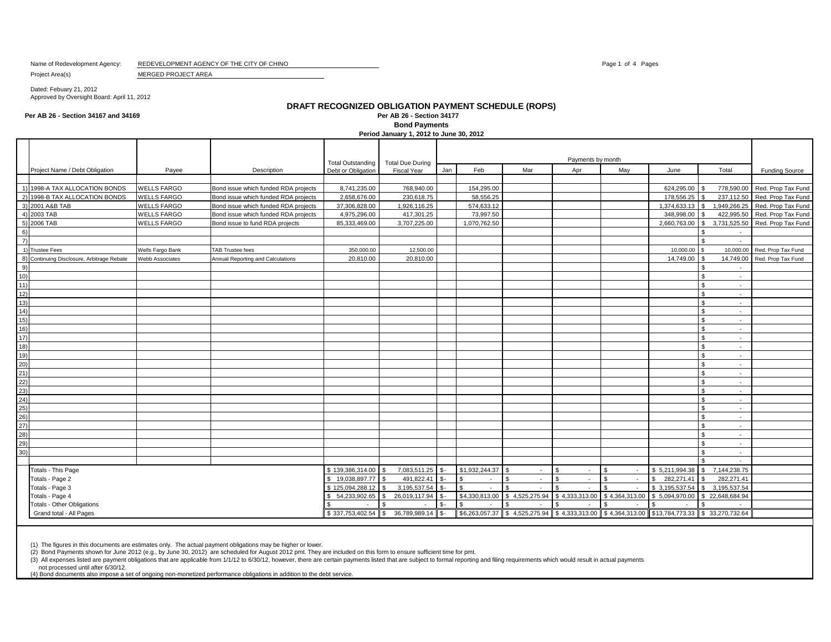Name of Redevelopment Agency: REDEVELOPMENT AGENCY OF THE CITY OF CHINO **Page 1 of 4 Pages** 1 of 4 Pages 1 of 4 Pages

Project Area(s) MERGED PROJECT AREA

Dated: Febuary 21, 2012 Approved by Oversight Board: April 11, 2012

**Per AB 26 - Section 34167 and 34169 Per AB 26 - Section 34177**

# **DRAFT RECOGNIZED OBLIGATION PAYMENT SCHEDULE (ROPS) Bond Payments**

**Period January 1, 2012 to June 30, 2012**

|                 |                                            |                    |                                      |                                                |                                               | Payments by month |                |                |                          |                |                                                                                                                               |                              |                       |  |  |  |
|-----------------|--------------------------------------------|--------------------|--------------------------------------|------------------------------------------------|-----------------------------------------------|-------------------|----------------|----------------|--------------------------|----------------|-------------------------------------------------------------------------------------------------------------------------------|------------------------------|-----------------------|--|--|--|
|                 | Project Name / Debt Obligation             | Payee              | Description                          | <b>Total Outstanding</b><br>Debt or Obligation | <b>Total Due During</b><br><b>Fiscal Year</b> | Jan               | Feb            | Mar            | Apr                      | May            | June                                                                                                                          | Total                        | <b>Funding Source</b> |  |  |  |
|                 |                                            |                    |                                      |                                                |                                               |                   |                |                |                          |                |                                                                                                                               |                              |                       |  |  |  |
|                 | 1) 1998-A TAX ALLOCATION BONDS             | <b>WELLS FARGO</b> | Bond issue which funded RDA projects | 8,741,235.00                                   | 768,940.00                                    |                   | 154,295.00     |                |                          |                | 624,295.00                                                                                                                    | 778,590.00                   | Red. Prop Tax Fund    |  |  |  |
|                 | 2) 1998-B TAX ALLOCATION BONDS             | <b>WELLS FARGO</b> | Bond issue which funded RDA projects | 2,658,676.00                                   | 230,618.75                                    |                   | 58,556.25      |                |                          |                | 178,556.25                                                                                                                    | 237,112.50                   | Red. Prop Tax Fund    |  |  |  |
|                 | 3) 2001 A&B TAB                            | <b>WELLS FARGO</b> | Bond issue which funded RDA projects | 37,306,828.00                                  | 1,926,116.25                                  |                   | 574,633.12     |                |                          |                | 1,374,633.13                                                                                                                  | 1,949,266.25<br>\$.          | Red. Prop Tax Fund    |  |  |  |
|                 | 4) 2003 TAB                                | <b>WELLS FARGO</b> | Bond issue which funded RDA projects | 4,975,296.00                                   | 417,301.25                                    |                   | 73,997.50      |                |                          |                | 348,998.00                                                                                                                    | 422,995.50                   | Red. Prop Tax Fund    |  |  |  |
|                 | 5) 2006 TAB                                | <b>WELLS FARGO</b> | Bond issue to fund RDA projects      | 85,333,469.00                                  | 3,707,225.00                                  |                   | 1,070,762.50   |                |                          |                | 2,660,763.00                                                                                                                  | 3,731,525.50<br>\$.          | Red. Prop Tax Fund    |  |  |  |
| 6)              |                                            |                    |                                      |                                                |                                               |                   |                |                |                          |                |                                                                                                                               | £.<br>$\sim$                 |                       |  |  |  |
| $\overline{7}$  |                                            |                    |                                      |                                                |                                               |                   |                |                |                          |                |                                                                                                                               | $\sim$                       |                       |  |  |  |
|                 | 1) Trustee Fees                            | Wells Fargo Bank   | <b>TAB Trustee fees</b>              | 350,000,00                                     | 12,500.00                                     |                   |                |                |                          |                | 10.000.00                                                                                                                     | 10,000.00<br>$\mathcal{S}$   | Red. Prop Tax Fund    |  |  |  |
|                 | 8) Continuing Disclosure, Arbitrage Rebate | Webb Associates    | Annual Reporting and Calculations    | 20,810.00                                      | 20,810.00                                     |                   |                |                |                          |                | 14,749.00                                                                                                                     | 14,749.00                    | Red. Prop Tax Fund    |  |  |  |
| 9)              |                                            |                    |                                      |                                                |                                               |                   |                |                |                          |                |                                                                                                                               | \$<br>$\sim$                 |                       |  |  |  |
| 10)             |                                            |                    |                                      |                                                |                                               |                   |                |                |                          |                |                                                                                                                               | \$<br>$\sim$                 |                       |  |  |  |
| 11)             |                                            |                    |                                      |                                                |                                               |                   |                |                |                          |                |                                                                                                                               | $\mathfrak{R}$<br>$\sim$     |                       |  |  |  |
| 12)             |                                            |                    |                                      |                                                |                                               |                   |                |                |                          |                |                                                                                                                               | $\mathfrak{R}$<br>$\sim$     |                       |  |  |  |
| 13)             |                                            |                    |                                      |                                                |                                               |                   |                |                |                          |                |                                                                                                                               | \$<br>$\sim$                 |                       |  |  |  |
| 14)             |                                            |                    |                                      |                                                |                                               |                   |                |                |                          |                |                                                                                                                               | $\mathfrak{R}$<br>$\sim$     |                       |  |  |  |
| 15)             |                                            |                    |                                      |                                                |                                               |                   |                |                |                          |                |                                                                                                                               | ፍ<br>$\sim$                  |                       |  |  |  |
| 16)             |                                            |                    |                                      |                                                |                                               |                   |                |                |                          |                |                                                                                                                               | $\mathfrak{s}$<br>$\sim$     |                       |  |  |  |
| 17)             |                                            |                    |                                      |                                                |                                               |                   |                |                |                          |                |                                                                                                                               | \$<br>$\sim$                 |                       |  |  |  |
| 18)             |                                            |                    |                                      |                                                |                                               |                   |                |                |                          |                |                                                                                                                               | $\sim$                       |                       |  |  |  |
| 19)             |                                            |                    |                                      |                                                |                                               |                   |                |                |                          |                |                                                                                                                               | $\mathfrak{s}$<br>$\sim$     |                       |  |  |  |
| 20)             |                                            |                    |                                      |                                                |                                               |                   |                |                |                          |                |                                                                                                                               | $\mathfrak{R}$<br>$\sim$     |                       |  |  |  |
| 21)             |                                            |                    |                                      |                                                |                                               |                   |                |                |                          |                |                                                                                                                               | $\sim$                       |                       |  |  |  |
| 22)             |                                            |                    |                                      |                                                |                                               |                   |                |                |                          |                |                                                                                                                               | $\sim$                       |                       |  |  |  |
| 23)             |                                            |                    |                                      |                                                |                                               |                   |                |                |                          |                |                                                                                                                               | \$<br>$\sim$                 |                       |  |  |  |
| 24)             |                                            |                    |                                      |                                                |                                               |                   |                |                |                          |                |                                                                                                                               | $\mathfrak{R}$<br>$\sim$     |                       |  |  |  |
| 25)             |                                            |                    |                                      |                                                |                                               |                   |                |                |                          |                |                                                                                                                               | $\sim$                       |                       |  |  |  |
| 26)             |                                            |                    |                                      |                                                |                                               |                   |                |                |                          |                |                                                                                                                               | $\mathfrak{R}$<br>$\sim$     |                       |  |  |  |
| 27)             |                                            |                    |                                      |                                                |                                               |                   |                |                |                          |                |                                                                                                                               | $\mathfrak{R}$<br>$\sim$     |                       |  |  |  |
| (28)            |                                            |                    |                                      |                                                |                                               |                   |                |                |                          |                |                                                                                                                               | £.<br>$\sim$                 |                       |  |  |  |
| 29)             |                                            |                    |                                      |                                                |                                               |                   |                |                |                          |                |                                                                                                                               | $\sim$                       |                       |  |  |  |
| 30)             |                                            |                    |                                      |                                                |                                               |                   |                |                |                          |                |                                                                                                                               | $\sim$                       |                       |  |  |  |
|                 |                                            |                    |                                      |                                                |                                               |                   |                |                |                          |                |                                                                                                                               | <b>S</b><br>$\sim$           |                       |  |  |  |
|                 | Totals - This Page                         |                    |                                      | \$139,386,314.00 \$                            | 7,083,511.25 \$-                              |                   | \$1,932,244.37 | l \$<br>$\sim$ | \$.<br>$\sim$            |                | \$5,211,994.38                                                                                                                | 7,144,238.75<br>$\mathbf{s}$ |                       |  |  |  |
|                 | Totals - Page 2                            |                    |                                      | \$19,038,897.77                                | 491,822.41                                    | $\mathcal{S}$ -   | -S             | - \$<br>$\sim$ | $\mathfrak{s}$<br>$\sim$ | \$.<br>$\sim$  | 282,271.41<br>\$                                                                                                              | 282,271.41                   |                       |  |  |  |
| Totals - Page 3 |                                            |                    |                                      | \$125,094,288.12                               | 3,195,537.54                                  | $$-$              |                | $\sim$         |                          | \$<br>÷.       | \$3,195,537.54                                                                                                                | 3,195,537.54                 |                       |  |  |  |
|                 | Totals - Page 4                            |                    |                                      | 54,233,902.65                                  | 26,019,117.94<br>-S                           | \$-               | \$4,330,813.00 | \$4,525,275.94 | \$4,333,313.00           | \$4,364,313.00 | \$5,094,970.00                                                                                                                | \$22,648,684.94              |                       |  |  |  |
|                 | <b>Totals - Other Obligations</b>          |                    |                                      |                                                |                                               | \$-               | \$.            |                |                          |                |                                                                                                                               |                              |                       |  |  |  |
|                 | Grand total - All Pages                    |                    |                                      | \$337,753,402.54                               | 36,789,989.14 \$-<br>ll S                     |                   |                |                |                          |                | $\ $ \$6,263,057.37 $\ $ \$ 4,525,275.94 $\ $ \$ 4,333,313.00 $\ $ \$ 4,364,313.00 $\ $ \$13,784,773.33 $\ $ \$ 33,270,732.64 |                              |                       |  |  |  |

(1) The figures in this documents are estimates only. The actual payment obligations may be higher or lower.

(2) Bond Payments shown for June 2012 (e.g., by June 30, 2012) are scheduled for August 2012 pmt. They are included on this form to ensure sufficient time for pmt.

(3) All expenses listed are payment obligations that are applicable from 1/1/12 to 6/30/12, however, there are certain payments listed that are subject to formal reporting and filing requirements which would result in actu

not processed until after 6/30/12. (4) Bond documents also impose a set of ongoing non-monetized performance obligations in addition to the debt service.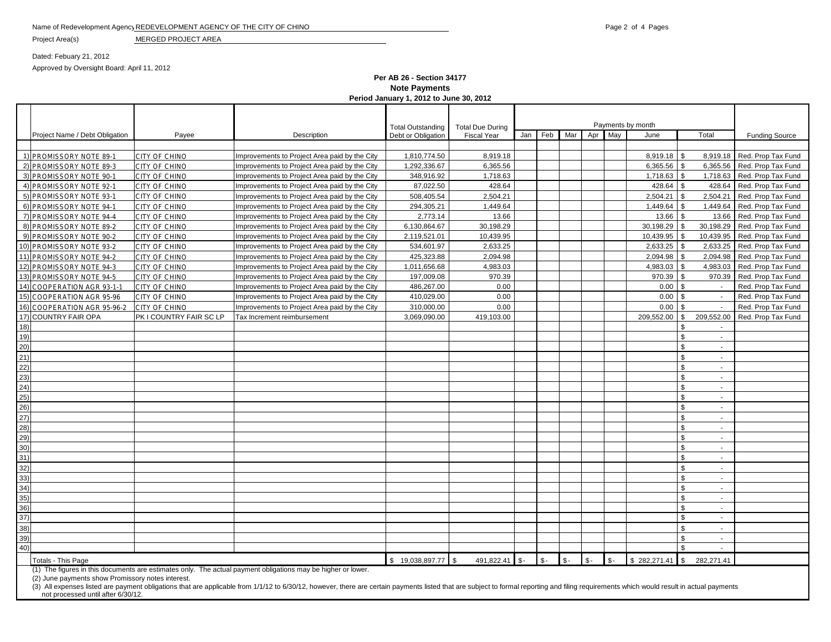### Name of Redevelopment Agency REDEVELOPMENT AGENCY OF THE CITY OF CHINO **Page 2 of 4 Pages** 2 of 4 Pages

Project Area(s) MERGED PROJECT AREA

Dated: Febuary 21, 2012 Approved by Oversight Board: April 11, 2012

**Per AB 26 - Section 34177 Note Payments Period January 1, 2012 to June 30, 2012**

|                                                                                                                                                            |                                                                                                                                                                                                                                                                      |                         |                                                                                                              | Payments by month        |                         |     |     |     |            |     |            |                |            |                       |
|------------------------------------------------------------------------------------------------------------------------------------------------------------|----------------------------------------------------------------------------------------------------------------------------------------------------------------------------------------------------------------------------------------------------------------------|-------------------------|--------------------------------------------------------------------------------------------------------------|--------------------------|-------------------------|-----|-----|-----|------------|-----|------------|----------------|------------|-----------------------|
|                                                                                                                                                            | Project Name / Debt Obligation<br>Payee                                                                                                                                                                                                                              |                         |                                                                                                              | <b>Total Outstanding</b> | <b>Total Due During</b> |     | Feb | Mar | Apr        | May |            |                | Total      |                       |
|                                                                                                                                                            |                                                                                                                                                                                                                                                                      |                         | Description                                                                                                  | Debt or Obligation       | <b>Fiscal Year</b>      | Jan |     |     |            |     | June       |                |            | <b>Funding Source</b> |
|                                                                                                                                                            | 1) PROMISSORY NOTE 89-1                                                                                                                                                                                                                                              | CITY OF CHINO           | Improvements to Project Area paid by the City                                                                | 1,810,774.50             | 8,919.18                |     |     |     |            |     | 8,919.18   |                | 8,919.18   | Red. Prop Tax Fund    |
|                                                                                                                                                            | 2) PROMISSORY NOTE 89-3                                                                                                                                                                                                                                              | <b>CITY OF CHINO</b>    | Improvements to Project Area paid by the City                                                                | 1,292,336.67             | 6,365.56                |     |     |     |            |     | 6,365.56   |                | 6,365.56   | Red. Prop Tax Fund    |
|                                                                                                                                                            | 3) PROMISSORY NOTE 90-1                                                                                                                                                                                                                                              | CITY OF CHINO           | Improvements to Project Area paid by the City                                                                | 348,916.92               | 1,718.63                |     |     |     |            |     | 1,718.63   | \$             | 1,718.63   | Red. Prop Tax Fund    |
|                                                                                                                                                            | 4) PROMISSORY NOTE 92-1                                                                                                                                                                                                                                              | CITY OF CHINO           | Improvements to Project Area paid by the City                                                                | 87.022.50                | 428.64                  |     |     |     |            |     | 428.64     |                | 428.64     | Red. Prop Tax Fund    |
|                                                                                                                                                            | 5) PROMISSORY NOTE 93-1                                                                                                                                                                                                                                              | CITY OF CHINO           | Improvements to Project Area paid by the City                                                                | 508,405.54               | 2,504.21                |     |     |     |            |     | 2,504.21   |                | 2,504.21   | Red. Prop Tax Fund    |
|                                                                                                                                                            | 6) PROMISSORY NOTE 94-1                                                                                                                                                                                                                                              | CITY OF CHINO           | Improvements to Project Area paid by the City                                                                | 294,305.21               | 1,449.64                |     |     |     |            |     | 1,449.64   |                | 1,449.64   | Red. Prop Tax Fund    |
|                                                                                                                                                            | 7) PROMISSORY NOTE 94-4                                                                                                                                                                                                                                              | CITY OF CHINO           | Improvements to Project Area paid by the City                                                                | 2,773.14                 | 13.66                   |     |     |     |            |     | 13.66      |                | 13.66      | Red. Prop Tax Fund    |
|                                                                                                                                                            | 8) PROMISSORY NOTE 89-2                                                                                                                                                                                                                                              | CITY OF CHINO           | Improvements to Project Area paid by the City                                                                | 6,130,864.67             | 30,198.29               |     |     |     |            |     | 30,198.29  |                | 30.198.29  | Red. Prop Tax Fund    |
|                                                                                                                                                            | 9) PROMISSORY NOTE 90-2                                                                                                                                                                                                                                              | CITY OF CHINO           | Improvements to Project Area paid by the City                                                                | 2,119,521.01             | 10,439.95               |     |     |     |            |     | 10,439.95  |                | 10,439.95  | Red. Prop Tax Fund    |
|                                                                                                                                                            | 10) PROMISSORY NOTE 93-2                                                                                                                                                                                                                                             | CITY OF CHINO           | Improvements to Project Area paid by the City                                                                | 534,601.97               | 2,633.25                |     |     |     |            |     | 2,633.25   |                | 2,633.25   | Red. Prop Tax Fund    |
|                                                                                                                                                            | 11) PROMISSORY NOTE 94-2                                                                                                                                                                                                                                             | CITY OF CHINO           | Improvements to Project Area paid by the City                                                                | 425,323.88               | 2,094.98                |     |     |     |            |     | 2,094.98   |                | 2,094.98   | Red. Prop Tax Fund    |
|                                                                                                                                                            | 12) PROMISSORY NOTE 94-3                                                                                                                                                                                                                                             | CITY OF CHINO           | Improvements to Project Area paid by the City                                                                | 1,011,656.68             | 4,983.03                |     |     |     |            |     | 4,983.03   | \$             | 4,983.03   | Red. Prop Tax Fund    |
|                                                                                                                                                            | 13) PROMISSORY NOTE 94-5                                                                                                                                                                                                                                             | CITY OF CHINO           | Improvements to Project Area paid by the City                                                                | 197,009.08               | 970.39                  |     |     |     |            |     | 970.39     | \$             | 970.39     | Red. Prop Tax Fund    |
|                                                                                                                                                            | 14) COOPERATION AGR 93-1-1                                                                                                                                                                                                                                           | <b>CITY OF CHINO</b>    | Improvements to Project Area paid by the City                                                                | 486,267.00               | 0.00                    |     |     |     |            |     | 0.00       | \$             | $\sim$     | Red. Prop Tax Fund    |
|                                                                                                                                                            | 15) COOPERATION AGR 95-96                                                                                                                                                                                                                                            | CITY OF CHINO           | Improvements to Project Area paid by the City                                                                | 410,029.00               | 0.00                    |     |     |     |            |     | 0.00       | \$             | $\sim$     | Red. Prop Tax Fund    |
|                                                                                                                                                            | 16) COOPERATION AGR 95-96-2                                                                                                                                                                                                                                          | <b>CITY OF CHINO</b>    | Improvements to Project Area paid by the City                                                                | 310,000.00               | 0.00                    |     |     |     |            |     | 0.00       | \$             | $\sim$     | Red. Prop Tax Fund    |
|                                                                                                                                                            | 17) COUNTRY FAIR OPA                                                                                                                                                                                                                                                 | PK I COUNTRY FAIR SC LP | Tax Increment reimbursement                                                                                  | 3,069,090.00             | 419,103.00              |     |     |     |            |     | 209,552.00 | \$             | 209,552.00 | Red. Prop Tax Fund    |
| 18)                                                                                                                                                        |                                                                                                                                                                                                                                                                      |                         |                                                                                                              |                          |                         |     |     |     |            |     |            | \$             | $\sim$     |                       |
| 19)                                                                                                                                                        |                                                                                                                                                                                                                                                                      |                         |                                                                                                              |                          |                         |     |     |     |            |     |            | \$             | $\sim$     |                       |
| 20)                                                                                                                                                        |                                                                                                                                                                                                                                                                      |                         |                                                                                                              |                          |                         |     |     |     |            |     |            | \$             | $\sim$     |                       |
| 21)                                                                                                                                                        |                                                                                                                                                                                                                                                                      |                         |                                                                                                              |                          |                         |     |     |     |            |     |            | \$             | $\sim$     |                       |
| 22)                                                                                                                                                        |                                                                                                                                                                                                                                                                      |                         |                                                                                                              |                          |                         |     |     |     |            |     |            | \$             | $\sim$     |                       |
| 23)                                                                                                                                                        |                                                                                                                                                                                                                                                                      |                         |                                                                                                              |                          |                         |     |     |     |            |     |            | \$             | $\sim$     |                       |
| (24)                                                                                                                                                       |                                                                                                                                                                                                                                                                      |                         |                                                                                                              |                          |                         |     |     |     |            |     |            | \$             | $\sim$     |                       |
| 25)                                                                                                                                                        |                                                                                                                                                                                                                                                                      |                         |                                                                                                              |                          |                         |     |     |     |            |     |            | \$             | $\sim$     |                       |
| 26)                                                                                                                                                        |                                                                                                                                                                                                                                                                      |                         |                                                                                                              |                          |                         |     |     |     |            |     |            | \$             | $\sim$     |                       |
| (27)                                                                                                                                                       |                                                                                                                                                                                                                                                                      |                         |                                                                                                              |                          |                         |     |     |     |            |     |            | \$             | $\sim$     |                       |
| 28)                                                                                                                                                        |                                                                                                                                                                                                                                                                      |                         |                                                                                                              |                          |                         |     |     |     |            |     |            | \$             | $\sim$     |                       |
| 29)                                                                                                                                                        |                                                                                                                                                                                                                                                                      |                         |                                                                                                              |                          |                         |     |     |     |            |     |            | \$             | $\sim$     |                       |
| 30)                                                                                                                                                        |                                                                                                                                                                                                                                                                      |                         |                                                                                                              |                          |                         |     |     |     |            |     |            | \$             | $\sim$     |                       |
| 31)                                                                                                                                                        |                                                                                                                                                                                                                                                                      |                         |                                                                                                              |                          |                         |     |     |     |            |     |            | \$             | $\sim$     |                       |
| 32)                                                                                                                                                        |                                                                                                                                                                                                                                                                      |                         |                                                                                                              |                          |                         |     |     |     |            |     |            | \$             | $\sim$     |                       |
| 33)                                                                                                                                                        |                                                                                                                                                                                                                                                                      |                         |                                                                                                              |                          |                         |     |     |     |            |     |            | \$             | $\sim$     |                       |
| 34)                                                                                                                                                        |                                                                                                                                                                                                                                                                      |                         |                                                                                                              |                          |                         |     |     |     |            |     |            | \$             | $\sim$     |                       |
| 35)                                                                                                                                                        |                                                                                                                                                                                                                                                                      |                         |                                                                                                              |                          |                         |     |     |     |            |     |            | \$             | $\sim$     |                       |
| 36)                                                                                                                                                        |                                                                                                                                                                                                                                                                      |                         |                                                                                                              |                          |                         |     |     |     |            |     |            | $\mathbb{S}$   | $\sim$     |                       |
| 37)                                                                                                                                                        |                                                                                                                                                                                                                                                                      |                         |                                                                                                              |                          |                         |     |     |     |            |     |            | \$             | $\sim$     |                       |
| 38)                                                                                                                                                        |                                                                                                                                                                                                                                                                      |                         |                                                                                                              |                          |                         |     |     |     |            |     |            | \$             | $\sim$     |                       |
| 39)<br>40)                                                                                                                                                 |                                                                                                                                                                                                                                                                      |                         |                                                                                                              |                          |                         |     |     |     |            |     |            | $\mathfrak{L}$ | $\sim$     |                       |
|                                                                                                                                                            |                                                                                                                                                                                                                                                                      |                         |                                                                                                              |                          |                         |     |     |     |            |     |            |                | $\sim$     |                       |
| $S -$<br>\$19,038,897.77<br>$\mathbf{R}$<br>491.822.41<br>$$-$<br>$$-$<br>\$282,271.41<br><b>Totals - This Page</b><br>$$-$<br>$\hat{\mathcal{F}}$ -<br>£. |                                                                                                                                                                                                                                                                      |                         |                                                                                                              |                          |                         |     |     |     | 282.271.41 |     |            |                |            |                       |
|                                                                                                                                                            | (2) June payments show Promissory notes interest.                                                                                                                                                                                                                    |                         | (1) The figures in this documents are estimates only. The actual payment obligations may be higher or lower. |                          |                         |     |     |     |            |     |            |                |            |                       |
|                                                                                                                                                            | (3) All expenses listed are payment obligations that are applicable from 1/1/12 to 6/30/12, however, there are certain payments listed that are subject to formal reporting and filing requirements which would result in actu<br>not processed until after 6/30/12. |                         |                                                                                                              |                          |                         |     |     |     |            |     |            |                |            |                       |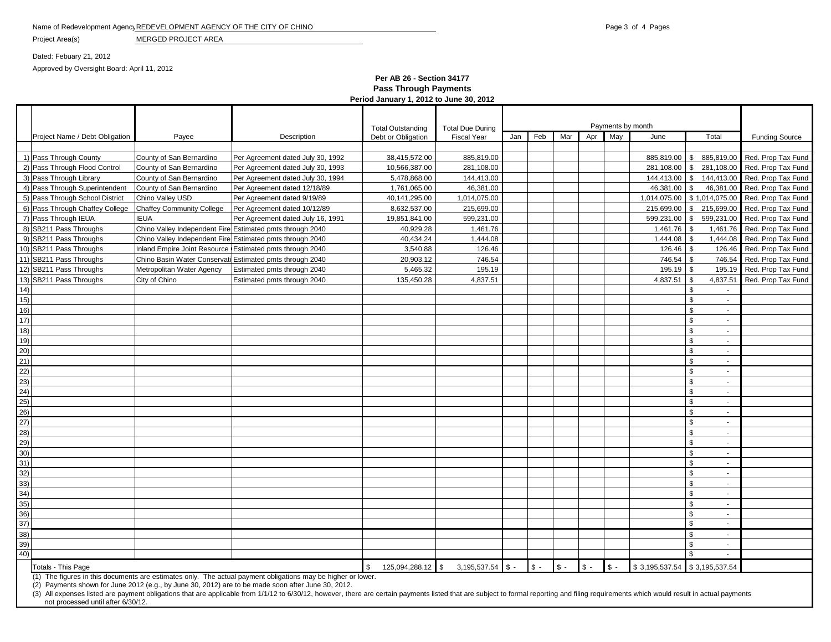### Name of Redevelopment Agency REDEVELOPMENT AGENCY OF THE CITY OF CHINO **Page 3 of 4 Pages** 3 of 4 Pages

Project Area(s) MERGED PROJECT AREA

Dated: Febuary 21, 2012

Approved by Oversight Board: April 11, 2012

## **Per AB 26 - Section 34177 Pass Through Payments Period January 1, 2012 to June 30, 2012**

|                                 |                           |                                                                                                                | <b>Total Outstanding</b> | <b>Total Due During</b> | Payments by month |                |       |                |                 |                |                                |                                                 |
|---------------------------------|---------------------------|----------------------------------------------------------------------------------------------------------------|--------------------------|-------------------------|-------------------|----------------|-------|----------------|-----------------|----------------|--------------------------------|-------------------------------------------------|
| Project Name / Debt Obligation  | Payee                     | Description                                                                                                    | Debt or Obligation       | <b>Fiscal Year</b>      | Jan               | Feb            | Mar   | Apr            | May             | June           | Total                          | <b>Funding Source</b>                           |
|                                 |                           |                                                                                                                |                          |                         |                   |                |       |                |                 |                |                                |                                                 |
| 1) Pass Through County          | County of San Bernardino  | Per Agreement dated July 30, 1992                                                                              | 38,415,572.00            | 885,819.00              |                   |                |       |                |                 | 885,819.00     | <b>IS</b>                      | 885,819.00 Red. Prop Tax Fund                   |
| 2) Pass Through Flood Control   | County of San Bernardino  | Per Agreement dated July 30, 1993                                                                              | 10,566,387.00            | 281,108.00              |                   |                |       |                |                 | 281,108.00 \$  |                                | 281,108.00 Red. Prop Tax Fund                   |
| 3) Pass Through Library         | County of San Bernardino  | Per Agreement dated July 30, 1994                                                                              | 5,478,868.00             | 144,413.00              |                   |                |       |                |                 | 144,413.00     |                                | \$ 144,413.00 Red. Prop Tax Fund                |
| 4) Pass Through Superintendent  | County of San Bernardino  | Per Agreement dated 12/18/89                                                                                   | 1,761,065.00             | 46,381.00               |                   |                |       |                |                 | 46,381.00      | $\sqrt{3}$                     | 46,381.00 Red. Prop Tax Fund                    |
| 5) Pass Through School District | Chino Valley USD          | Per Agreement dated 9/19/89                                                                                    | 40,141,295.00            | 1,014,075.00            |                   |                |       |                |                 |                |                                | 1,014,075.00 \$ 1,014,075.00 Red. Prop Tax Fund |
| 6) Pass Through Chaffey College | Chaffey Community College | Per Agreement dated 10/12/89                                                                                   | 8,632,537.00             | 215,699.00              |                   |                |       |                |                 |                |                                | 215,699.00   \$215,699.00   Red. Prop Tax Fund  |
| 7) Pass Through IEUA            | <b>IEUA</b>               | Per Agreement dated July 16, 1991                                                                              | 19,851,841.00            | 599,231.00              |                   |                |       |                |                 | 599,231.00     | $\sqrt{3}$                     | 599,231.00 Red. Prop Tax Fund                   |
| 8) SB211 Pass Throughs          |                           | Chino Valley Independent Fire Estimated pmts through 2040                                                      | 40,929.28                | 1,461.76                |                   |                |       |                |                 | 1,461.76       | l \$                           | 1,461.76 Red. Prop Tax Fund                     |
| 9) SB211 Pass Throughs          |                           | Chino Valley Independent Fire Estimated pmts through 2040                                                      | 40,434.24                | 1,444.08                |                   |                |       |                |                 | $1,444.08$ \\$ |                                | 1,444.08 Red. Prop Tax Fund                     |
| 10) SB211 Pass Throughs         |                           | Inland Empire Joint Resource Estimated pmts through 2040                                                       | 3,540.88                 | 126.46                  |                   |                |       |                |                 | 126.46         | - \$                           | 126.46 Red. Prop Tax Fund                       |
| 11) SB211 Pass Throughs         |                           | Chino Basin Water Conservati Estimated pmts through 2040                                                       | 20,903.12                | 746.54                  |                   |                |       |                |                 | 746.54 \$      |                                | 746.54 Red. Prop Tax Fund                       |
| 12) SB211 Pass Throughs         | Metropolitan Water Agency | Estimated pmts through 2040                                                                                    | 5,465.32                 | 195.19                  |                   |                |       |                |                 | $195.19$ \\$   |                                | 195.19 Red. Prop Tax Fund                       |
| 13) SB211 Pass Throughs         | City of Chino             | Estimated pmts through 2040                                                                                    | 135,450.28               | 4,837.51                |                   |                |       |                |                 | 4,837.51       | 4,837.51<br>$\sqrt{3}$         | Red. Prop Tax Fund                              |
| 14)                             |                           |                                                                                                                |                          |                         |                   |                |       |                |                 |                | \$                             |                                                 |
| 15)                             |                           |                                                                                                                |                          |                         |                   |                |       |                |                 |                | \$<br>$\blacksquare$           |                                                 |
| 16)                             |                           |                                                                                                                |                          |                         |                   |                |       |                |                 |                | \$<br>$\blacksquare$           |                                                 |
| 17)                             |                           |                                                                                                                |                          |                         |                   |                |       |                |                 |                | $\blacksquare$                 |                                                 |
| 18)                             |                           |                                                                                                                |                          |                         |                   |                |       |                |                 |                | £.<br>$\sim$                   |                                                 |
| 19)                             |                           |                                                                                                                |                          |                         |                   |                |       |                |                 |                | \$<br>$\overline{\phantom{a}}$ |                                                 |
| 20)                             |                           |                                                                                                                |                          |                         |                   |                |       |                |                 |                | $\sim$                         |                                                 |
| 21)                             |                           |                                                                                                                |                          |                         |                   |                |       |                |                 |                | £.<br>$\sim$                   |                                                 |
| 22)                             |                           |                                                                                                                |                          |                         |                   |                |       |                |                 |                | £.<br>$\blacksquare$           |                                                 |
| 23)                             |                           |                                                                                                                |                          |                         |                   |                |       |                |                 |                | £.<br>$\blacksquare$           |                                                 |
| 24)                             |                           |                                                                                                                |                          |                         |                   |                |       |                |                 |                | $\sim$                         |                                                 |
| 25)                             |                           |                                                                                                                |                          |                         |                   |                |       |                |                 |                | $\sim$                         |                                                 |
| 26)                             |                           |                                                                                                                |                          |                         |                   |                |       |                |                 |                | £.<br>$\sim$                   |                                                 |
| 27)                             |                           |                                                                                                                |                          |                         |                   |                |       |                |                 |                | £.<br>×.                       |                                                 |
| 28)                             |                           |                                                                                                                |                          |                         |                   |                |       |                |                 |                | $\sim$                         |                                                 |
| 29)                             |                           |                                                                                                                |                          |                         |                   |                |       |                |                 |                | \$.<br>$\sim$                  |                                                 |
| 30)                             |                           |                                                                                                                |                          |                         |                   |                |       |                |                 |                | $\sim$                         |                                                 |
| 31)                             |                           |                                                                                                                |                          |                         |                   |                |       |                |                 |                | $\overline{\phantom{a}}$       |                                                 |
| 32)                             |                           |                                                                                                                |                          |                         |                   |                |       |                |                 |                | $\blacksquare$                 |                                                 |
| 33)                             |                           |                                                                                                                |                          |                         |                   |                |       |                |                 |                | $\sim$                         |                                                 |
| 34)                             |                           |                                                                                                                |                          |                         |                   |                |       |                |                 |                | \$<br>$\sim$                   |                                                 |
| 35)                             |                           |                                                                                                                |                          |                         |                   |                |       |                |                 |                | $\sim$                         |                                                 |
| 36)                             |                           |                                                                                                                |                          |                         |                   |                |       |                |                 |                | \$<br>$\blacksquare$           |                                                 |
| 37)                             |                           |                                                                                                                |                          |                         |                   |                |       |                |                 |                | \$<br>$\sim$                   |                                                 |
| 38)                             |                           |                                                                                                                |                          |                         |                   |                |       |                |                 |                | $\sim$                         |                                                 |
| 39)<br>40)                      |                           |                                                                                                                |                          |                         |                   |                |       |                |                 |                | ድ<br>$\sim$                    |                                                 |
|                                 |                           |                                                                                                                |                          |                         |                   |                |       |                |                 |                |                                |                                                 |
| Totals - This Page              |                           | $(1)$ The figures in this documents are estimates only. The actual payment obligations may be higher or lower. | 125,094,288.12 \$        | $3,195,537.54$ \$ -     |                   | $\mathbb{S}$ - | $S -$ | $\mathbb{S}$ . | $\mathsf{\$}$ - | \$3,195,537.54 | \$3,195,537.54                 |                                                 |

(2) Payments shown for June 2012 (e.g., by June 30, 2012) are to be made soon after June 30, 2012.

(3) All expenses listed are payment obligations that are applicable from 1/1/12 to 6/30/12, however, there are certain payments listed that are subject to formal reporting and filing requirements which would result in actu not processed until after 6/30/12.